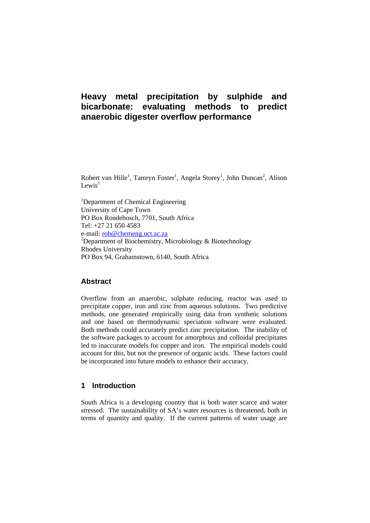# **Heavy metal precipitation by sulphide and bicarbonate: evaluating methods to predict anaerobic digester overflow performance**

Robert van Hille<sup>1</sup>, Tamryn Foster<sup>1</sup>, Angela Storey<sup>1</sup>, John Duncan<sup>2</sup>, Alison Lewis<sup>1</sup>

<sup>1</sup>Department of Chemical Engineering University of Cape Town PO Box Rondebosch, 7701, South Africa Tel: +27 21 650 4583 e-mail: rob@chemeng.uct.ac.za <sup>2</sup>Department of Biochemistry, Microbiology & Biotechnology Rhodes University PO Box 94, Grahamstown, 6140, South Africa

## **Abstract**

Overflow from an anaerobic, sulphate reducing, reactor was used to precipitate copper, iron and zinc from aqueous solutions. Two predictive methods, one generated empirically using data from synthetic solutions and one based on thermodynamic speciation software were evaluated. Both methods could accurately predict zinc precipitation. The inability of the software packages to account for amorphous and colloidal precipitates led to inaccurate models for copper and iron. The empirical models could account for this, but not the presence of organic acids. These factors could be incorporated into future models to enhance their accuracy.

### **1 Introduction**

South Africa is a developing country that is both water scarce and water stressed. The sustainability of SA's water resources is threatened, both in terms of quantity and quality. If the current patterns of water usage are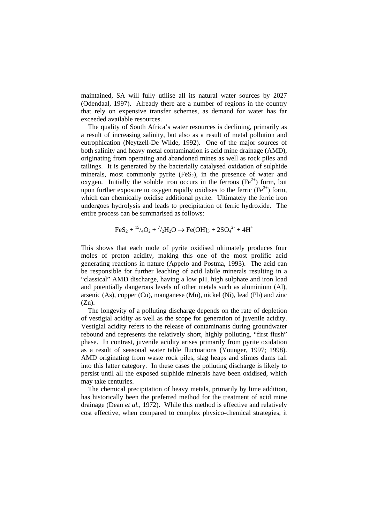maintained, SA will fully utilise all its natural water sources by 2027 (Odendaal, 1997). Already there are a number of regions in the country that rely on expensive transfer schemes, as demand for water has far exceeded available resources.

The quality of South Africa's water resources is declining, primarily as a result of increasing salinity, but also as a result of metal pollution and eutrophication (Neytzell-De Wilde, 1992). One of the major sources of both salinity and heavy metal contamination is acid mine drainage (AMD), originating from operating and abandoned mines as well as rock piles and tailings. It is generated by the bacterially catalysed oxidation of sulphide minerals, most commonly pyrite  $(F \in S_2)$ , in the presence of water and oxygen. Initially the soluble iron occurs in the ferrous  $(Fe^{2+})$  form, but upon further exposure to oxygen rapidly oxidises to the ferric  $(Fe<sup>3+</sup>)$  form, which can chemically oxidise additional pyrite. Ultimately the ferric iron undergoes hydrolysis and leads to precipitation of ferric hydroxide. The entire process can be summarised as follows:

$$
FeS_2 + {^{15}/_4O_2} + {^7}/_2H_2O \rightarrow Fe(OH)_3 + 2SO_4^{2-} + 4H^+
$$

This shows that each mole of pyrite oxidised ultimately produces four moles of proton acidity, making this one of the most prolific acid generating reactions in nature (Appelo and Postma, 1993). The acid can be responsible for further leaching of acid labile minerals resulting in a "classical" AMD discharge, having a low pH, high sulphate and iron load and potentially dangerous levels of other metals such as aluminium (Al), arsenic (As), copper (Cu), manganese (Mn), nickel (Ni), lead (Pb) and zinc  $(Zn)$ .

The longevity of a polluting discharge depends on the rate of depletion of vestigial acidity as well as the scope for generation of juvenile acidity. Vestigial acidity refers to the release of contaminants during groundwater rebound and represents the relatively short, highly polluting, "first flush" phase. In contrast, juvenile acidity arises primarily from pyrite oxidation as a result of seasonal water table fluctuations (Younger, 1997; 1998). AMD originating from waste rock piles, slag heaps and slimes dams fall into this latter category. In these cases the polluting discharge is likely to persist until all the exposed sulphide minerals have been oxidised, which may take centuries.

The chemical precipitation of heavy metals, primarily by lime addition, has historically been the preferred method for the treatment of acid mine drainage (Dean *et al.*, 1972). While this method is effective and relatively cost effective, when compared to complex physico-chemical strategies, it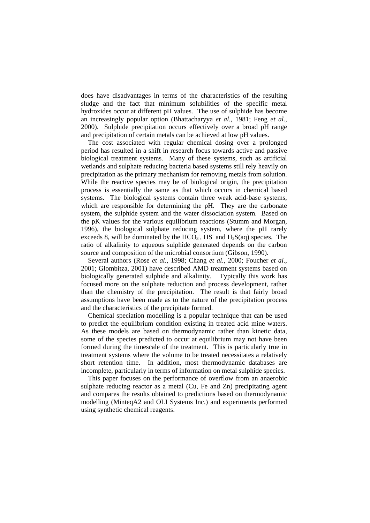does have disadvantages in terms of the characteristics of the resulting sludge and the fact that minimum solubilities of the specific metal hydroxides occur at different pH values. The use of sulphide has become an increasingly popular option (Bhattacharyya *et al.*, 1981; Feng *et al.*, 2000). Sulphide precipitation occurs effectively over a broad pH range and precipitation of certain metals can be achieved at low pH values.

The cost associated with regular chemical dosing over a prolonged period has resulted in a shift in research focus towards active and passive biological treatment systems. Many of these systems, such as artificial wetlands and sulphate reducing bacteria based systems still rely heavily on precipitation as the primary mechanism for removing metals from solution. While the reactive species may be of biological origin, the precipitation process is essentially the same as that which occurs in chemical based systems. The biological systems contain three weak acid-base systems, which are responsible for determining the pH. They are the carbonate system, the sulphide system and the water dissociation system. Based on the pK values for the various equilibrium reactions (Stumm and Morgan, 1996), the biological sulphate reducing system, where the pH rarely exceeds 8, will be dominated by the  $HCO<sub>3</sub>$ , HS<sup>-</sup> and H<sub>2</sub>S(aq) species. The ratio of alkalinity to aqueous sulphide generated depends on the carbon source and composition of the microbial consortium (Gibson, 1990).

Several authors (Rose *et al.*, 1998; Chang *et al.*, 2000; Foucher *et al*., 2001; Glombitza, 2001) have described AMD treatment systems based on biologically generated sulphide and alkalinity. Typically this work has focused more on the sulphate reduction and process development, rather than the chemistry of the precipitation. The result is that fairly broad assumptions have been made as to the nature of the precipitation process and the characteristics of the precipitate formed.

Chemical speciation modelling is a popular technique that can be used to predict the equilibrium condition existing in treated acid mine waters. As these models are based on thermodynamic rather than kinetic data, some of the species predicted to occur at equilibrium may not have been formed during the timescale of the treatment. This is particularly true in treatment systems where the volume to be treated necessitates a relatively short retention time. In addition, most thermodynamic databases are incomplete, particularly in terms of information on metal sulphide species.

This paper focuses on the performance of overflow from an anaerobic sulphate reducing reactor as a metal (Cu, Fe and Zn) precipitating agent and compares the results obtained to predictions based on thermodynamic modelling (MinteqA2 and OLI Systems Inc.) and experiments performed using synthetic chemical reagents.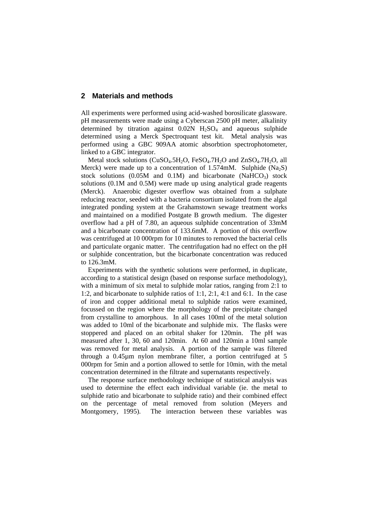#### **2 Materials and methods**

All experiments were performed using acid-washed borosilicate glassware. pH measurements were made using a Cyberscan 2500 pH meter, alkalinity determined by titration against  $0.02N$  H<sub>2</sub>SO<sub>4</sub> and aqueous sulphide determined using a Merck Spectroquant test kit. Metal analysis was performed using a GBC 909AA atomic absorbtion spectrophotometer, linked to a GBC integrator.

Metal stock solutions ( $CuSO<sub>4</sub>.5H<sub>2</sub>O$ ,  $FeSO<sub>4</sub>.7H<sub>2</sub>O$  and  $ZnSO<sub>4</sub>.7H<sub>2</sub>O$ , all Merck) were made up to a concentration of 1.574mM. Sulphide (Na<sub>2</sub>S) stock solutions  $(0.05M$  and  $(0.1M)$  and bicarbonate  $(NaHCO<sub>3</sub>)$  stock solutions (0.1M and 0.5M) were made up using analytical grade reagents (Merck). Anaerobic digester overflow was obtained from a sulphate reducing reactor, seeded with a bacteria consortium isolated from the algal integrated ponding system at the Grahamstown sewage treatment works and maintained on a modified Postgate B growth medium. The digester overflow had a pH of 7.80, an aqueous sulphide concentration of 33mM and a bicarbonate concentration of 133.6mM. A portion of this overflow was centrifuged at 10 000rpm for 10 minutes to removed the bacterial cells and particulate organic matter. The centrifugation had no effect on the pH or sulphide concentration, but the bicarbonate concentration was reduced to 126.3mM.

Experiments with the synthetic solutions were performed, in duplicate, according to a statistical design (based on response surface methodology), with a minimum of six metal to sulphide molar ratios, ranging from 2:1 to 1:2, and bicarbonate to sulphide ratios of 1:1, 2:1, 4:1 and 6:1. In the case of iron and copper additional metal to sulphide ratios were examined, focussed on the region where the morphology of the precipitate changed from crystalline to amorphous. In all cases 100ml of the metal solution was added to 10ml of the bicarbonate and sulphide mix. The flasks were stoppered and placed on an orbital shaker for 120min. The pH was measured after 1, 30, 60 and 120min. At 60 and 120min a 10ml sample was removed for metal analysis. A portion of the sample was filtered through a 0.45µm nylon membrane filter, a portion centrifuged at 5 000rpm for 5min and a portion allowed to settle for 10min, with the metal concentration determined in the filtrate and supernatants respectively.

The response surface methodology technique of statistical analysis was used to determine the effect each individual variable (ie. the metal to sulphide ratio and bicarbonate to sulphide ratio) and their combined effect on the percentage of metal removed from solution (Meyers and Montgomery, 1995). The interaction between these variables was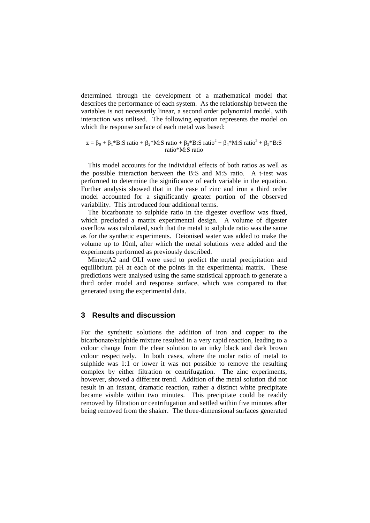determined through the development of a mathematical model that describes the performance of each system. As the relationship between the variables is not necessarily linear, a second order polynomial model, with interaction was utilised. The following equation represents the model on which the response surface of each metal was based:

 $z = \beta_0 + \beta_1 * B$ :S ratio +  $\beta_2 * M$ :S ratio +  $\beta_3 * B$ :S ratio<sup>2</sup> +  $\beta_4 * M$ :S ratio<sup>2</sup> +  $\beta_5 * B$ :S ratio\*M:S ratio

This model accounts for the individual effects of both ratios as well as the possible interaction between the B:S and M:S ratio. A t-test was performed to determine the significance of each variable in the equation. Further analysis showed that in the case of zinc and iron a third order model accounted for a significantly greater portion of the observed variability. This introduced four additional terms.

The bicarbonate to sulphide ratio in the digester overflow was fixed, which precluded a matrix experimental design. A volume of digester overflow was calculated, such that the metal to sulphide ratio was the same as for the synthetic experiments. Deionised water was added to make the volume up to 10ml, after which the metal solutions were added and the experiments performed as previously described.

MinteqA2 and OLI were used to predict the metal precipitation and equilibrium pH at each of the points in the experimental matrix. These predictions were analysed using the same statistical approach to generate a third order model and response surface, which was compared to that generated using the experimental data.

## **3 Results and discussion**

For the synthetic solutions the addition of iron and copper to the bicarbonate/sulphide mixture resulted in a very rapid reaction, leading to a colour change from the clear solution to an inky black and dark brown colour respectively. In both cases, where the molar ratio of metal to sulphide was 1:1 or lower it was not possible to remove the resulting complex by either filtration or centrifugation. The zinc experiments, however, showed a different trend. Addition of the metal solution did not result in an instant, dramatic reaction, rather a distinct white precipitate became visible within two minutes. This precipitate could be readily removed by filtration or centrifugation and settled within five minutes after being removed from the shaker. The three-dimensional surfaces generated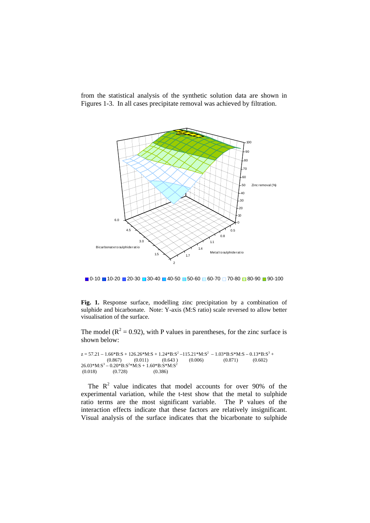

from the statistical analysis of the synthetic solution data are shown in Figures 1-3. In all cases precipitate removal was achieved by filtration.

 $\Box$  0-10  $\Box$  10-20  $\Box$  20-30  $\Box$  30-40  $\Box$  40-50  $\Box$  50-60  $\Box$  60-70  $\Box$  70-80  $\Box$  80-90  $\Box$  90-100

**Fig. 1.** Response surface, modelling zinc precipitation by a combination of sulphide and bicarbonate. Note: Y-axis (M:S ratio) scale reversed to allow better visualisation of the surface.

The model ( $R^2 = 0.92$ ), with P values in parentheses, for the zinc surface is shown below:

```
z = 57.21 - 1.66 * B: S + 126.26 * M: S + 1.24 * B: S^2 - 115.21 * M: S^2 - 1.03 * B: S * M: S - 0.13 * B: S^3 +(0.867) (0.011) (0.643) (0.006) (0.871) (0.602)26.03 * M: S<sup>3</sup> - 0.20 * B: S<sup>2</sup>* M: S + 1.60 * B: S * M: S<sup>2</sup>(0.018) (0.728) (0.386)
```
The  $R^2$  value indicates that model accounts for over 90% of the experimental variation, while the t-test show that the metal to sulphide ratio terms are the most significant variable. The P values of the interaction effects indicate that these factors are relatively insignificant. Visual analysis of the surface indicates that the bicarbonate to sulphide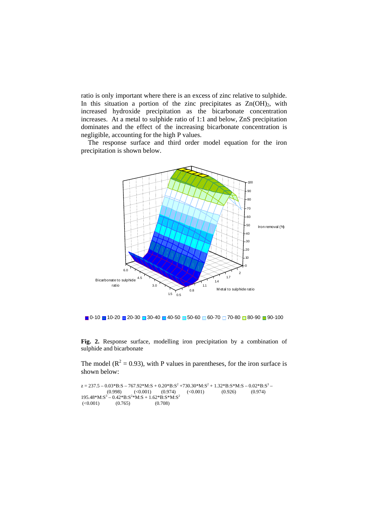ratio is only important where there is an excess of zinc relative to sulphide. In this situation a portion of the zinc precipitates as  $Zn(OH)_2$ , with increased hydroxide precipitation as the bicarbonate concentration increases. At a metal to sulphide ratio of 1:1 and below, ZnS precipitation dominates and the effect of the increasing bicarbonate concentration is negligible, accounting for the high P values.

The response surface and third order model equation for the iron precipitation is shown below.





**Fig. 2.** Response surface, modelling iron precipitation by a combination of sulphide and bicarbonate

The model ( $R^2 = 0.93$ ), with P values in parentheses, for the iron surface is shown below:

 $z = 237.5 - 0.03*B: S - 767.92*M: S + 0.20*B: S^2 + 730.30*M: S^2 + 1.32*B: S * M: S - 0.02*B: S^3 (0.998)$   $(<0.001)$   $(0.974)$   $(<0.001)$   $(0.926)$   $(0.974)$  $195.48^*M:S^3 - 0.42^*B:S^2*M:S + 1.62^*B:S^*M:S^2$  $(\leq 0.001)$   $(0.765)$   $(0.708)$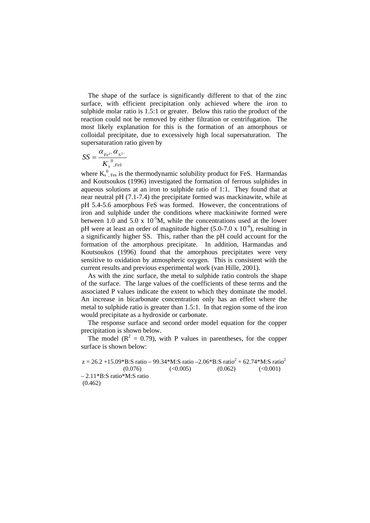The shape of the surface is significantly different to that of the zinc surface, with efficient precipitation only achieved where the iron to sulphide molar ratio is 1.5:1 or greater. Below this ratio the product of the reaction could not be removed by either filtration or centrifugation. The most likely explanation for this is the formation of an amorphous or colloidal precipitate, due to excessively high local supersaturation. The supersaturation ratio given by

$$
SS = \frac{\alpha_{Fe^{2+}} \alpha_{S^{2-}}}{K_{s}^{0}, \text{FeS}}
$$

where  $K_s^0$ ,  $F_{\text{es}}$  is the thermodynamic solubility product for FeS. Harmandas and Koutsoukos (1996) investigated the formation of ferrous sulphides in aqueous solutions at an iron to sulphide ratio of 1:1. They found that at near neutral pH (7.1-7.4) the precipitate formed was mackinawite, while at pH 5.4-5.6 amorphous FeS was formed. However, the concentrations of iron and sulphide under the conditions where mackiniwite formed were between 1.0 and 5.0 x  $10^{-5}$ M, while the concentrations used at the lower pH were at least an order of magnitude higher (5.0-7.0 x  $10^{-4}$ ), resulting in a significantly higher SS. This, rather than the pH could account for the formation of the amorphous precipitate. In addition, Harmandas and Koutsoukos (1996) found that the amorphous precipitates were very sensitive to oxidation by atmospheric oxygen. This is consistent with the current results and previous experimental work (van Hille, 2001).

As with the zinc surface, the metal to sulphide ratio controls the shape of the surface. The large values of the coefficients of these terms and the associated P values indicate the extent to which they dominate the model. An increase in bicarbonate concentration only has an effect where the metal to sulphide ratio is greater than 1.5:1. In that region some of the iron would precipitate as a hydroxide or carbonate.

The response surface and second order model equation for the copper precipitation is shown below.

The model ( $R^2 = 0.79$ ), with P values in parentheses, for the copper surface is shown below:

 $z = 26.2 + 15.09*$ B:S ratio – 99.34\*M:S ratio –2.06\*B:S ratio<sup>2</sup> + 62.74\*M:S ratio<sup>2</sup>  $(0.076)$   $(<0.005)$   $(0.062)$   $(<0.001)$ – 2.11\*B:S ratio\*M:S ratio (0.462)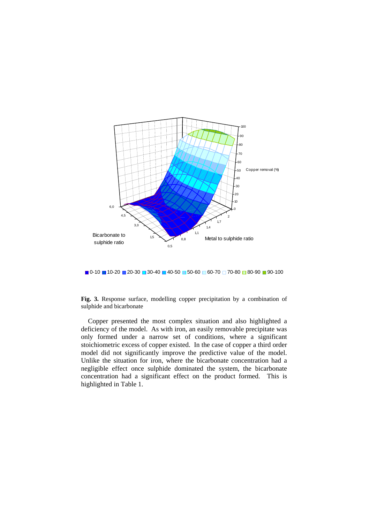

 $\Box$  0-10  $\Box$  10-20  $\Box$  20-30  $\Box$  30-40  $\Box$  40-50  $\Box$  50-60  $\Box$  60-70  $\Box$  70-80  $\Box$  80-90  $\Box$  90-100

**Fig. 3.** Response surface, modelling copper precipitation by a combination of sulphide and bicarbonate

Copper presented the most complex situation and also highlighted a deficiency of the model. As with iron, an easily removable precipitate was only formed under a narrow set of conditions, where a significant stoichiometric excess of copper existed. In the case of copper a third order model did not significantly improve the predictive value of the model. Unlike the situation for iron, where the bicarbonate concentration had a negligible effect once sulphide dominated the system, the bicarbonate concentration had a significant effect on the product formed. This is highlighted in Table 1.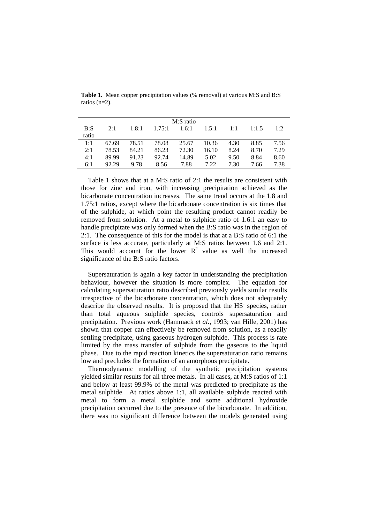| M:S ratio |       |       |        |       |       |      |       |      |
|-----------|-------|-------|--------|-------|-------|------|-------|------|
| B: S      | 2.1   | 1.8:1 | 1.75:1 | 1.6:1 | 1.5:1 | 1:1  | 1:1.5 | 1:2  |
| ratio     |       |       |        |       |       |      |       |      |
| 1:1       | 67.69 | 78.51 | 78.08  | 25.67 | 10.36 | 4.30 | 8.85  | 7.56 |
| 2:1       | 78.53 | 84.21 | 86.23  | 72.30 | 16.10 | 8.24 | 8.70  | 7.29 |
| 4:1       | 89.99 | 91.23 | 92.74  | 14.89 | 5.02  | 9.50 | 8.84  | 8.60 |
| 6:1       | 92.29 | 9.78  | 8.56   | 7.88  | 7.22  | 7.30 | 7.66  | 7.38 |
|           |       |       |        |       |       |      |       |      |

**Table 1.** Mean copper precipitation values (% removal) at various M:S and B:S ratios (n=2).

Table 1 shows that at a M:S ratio of 2:1 the results are consistent with those for zinc and iron, with increasing precipitation achieved as the bicarbonate concentration increases. The same trend occurs at the 1.8 and 1.75:1 ratios, except where the bicarbonate concentration is six times that of the sulphide, at which point the resulting product cannot readily be removed from solution. At a metal to sulphide ratio of 1.6:1 an easy to handle precipitate was only formed when the B:S ratio was in the region of 2:1. The consequence of this for the model is that at a B:S ratio of 6:1 the surface is less accurate, particularly at M:S ratios between 1.6 and 2:1. This would account for the lower  $R^2$  value as well the increased significance of the B:S ratio factors.

Supersaturation is again a key factor in understanding the precipitation behaviour, however the situation is more complex. The equation for calculating supersaturation ratio described previously yields similar results irrespective of the bicarbonate concentration, which does not adequately describe the observed results. It is proposed that the HS species, rather than total aqueous sulphide species, controls supersaturation and precipitation. Previous work (Hammack *et al.*, 1993; van Hille, 2001) has shown that copper can effectively be removed from solution, as a readily settling precipitate, using gaseous hydrogen sulphide. This process is rate limited by the mass transfer of sulphide from the gaseous to the liquid phase. Due to the rapid reaction kinetics the supersaturation ratio remains low and precludes the formation of an amorphous precipitate.

Thermodynamic modelling of the synthetic precipitation systems yielded similar results for all three metals. In all cases, at M:S ratios of 1:1 and below at least 99.9% of the metal was predicted to precipitate as the metal sulphide. At ratios above 1:1, all available sulphide reacted with metal to form a metal sulphide and some additional hydroxide precipitation occurred due to the presence of the bicarbonate. In addition, there was no significant difference between the models generated using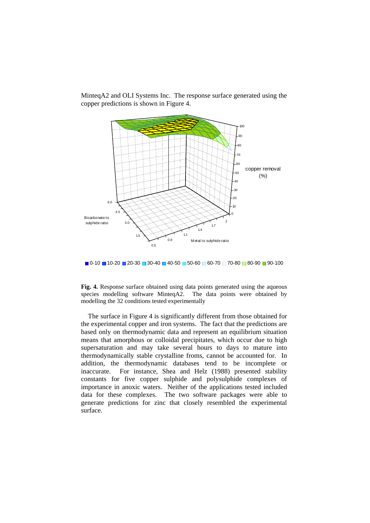

MinteqA2 and OLI Systems Inc. The response surface generated using the copper predictions is shown in Figure 4.

 $\Box$  0-10  $\Box$  10-20  $\Box$  20-30  $\Box$  30-40  $\Box$  40-50  $\Box$  50-60  $\Box$  60-70  $\Box$  70-80  $\Box$  80-90  $\Box$  90-100

**Fig. 4.** Response surface obtained using data points generated using the aqueous species modelling software MinteqA2. The data points were obtained by modelling the 32 conditions tested experimentally

The surface in Figure 4 is significantly different from those obtained for the experimental copper and iron systems. The fact that the predictions are based only on thermodynamic data and represent an equilibrium situation means that amorphous or colloidal precipitates, which occur due to high supersaturation and may take several hours to days to mature into thermodynamically stable crystalline froms, cannot be accounted for. In addition, the thermodynamic databases tend to be incomplete or inaccurate. For instance, Shea and Helz (1988) presented stability constants for five copper sulphide and polysulphide complexes of importance in anoxic waters. Neither of the applications tested included data for these complexes. The two software packages were able to generate predictions for zinc that closely resembled the experimental surface.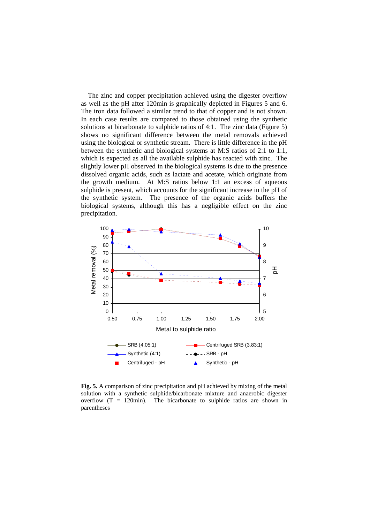The zinc and copper precipitation achieved using the digester overflow as well as the pH after 120min is graphically depicted in Figures 5 and 6. The iron data followed a similar trend to that of copper and is not shown. In each case results are compared to those obtained using the synthetic solutions at bicarbonate to sulphide ratios of 4:1. The zinc data (Figure 5) shows no significant difference between the metal removals achieved using the biological or synthetic stream. There is little difference in the pH between the synthetic and biological systems at M:S ratios of 2:1 to 1:1, which is expected as all the available sulphide has reacted with zinc. The slightly lower pH observed in the biological systems is due to the presence dissolved organic acids, such as lactate and acetate, which originate from the growth medium. At M:S ratios below 1:1 an excess of aqueous sulphide is present, which accounts for the significant increase in the pH of the synthetic system. The presence of the organic acids buffers the biological systems, although this has a negligible effect on the zinc precipitation.



**Fig. 5.** A comparison of zinc precipitation and pH achieved by mixing of the metal solution with a synthetic sulphide/bicarbonate mixture and anaerobic digester overflow  $(T = 120$ min). The bicarbonate to sulphide ratios are shown in parentheses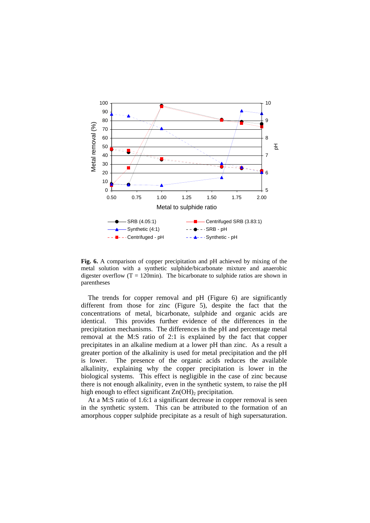

**Fig. 6.** A comparison of copper precipitation and pH achieved by mixing of the metal solution with a synthetic sulphide/bicarbonate mixture and anaerobic digester overflow  $(T = 120$ min). The bicarbonate to sulphide ratios are shown in parentheses

The trends for copper removal and pH (Figure 6) are significantly different from those for zinc (Figure 5), despite the fact that the concentrations of metal, bicarbonate, sulphide and organic acids are identical. This provides further evidence of the differences in the precipitation mechanisms. The differences in the pH and percentage metal removal at the M:S ratio of 2:1 is explained by the fact that copper precipitates in an alkaline medium at a lower pH than zinc. As a result a greater portion of the alkalinity is used for metal precipitation and the pH is lower. The presence of the organic acids reduces the available alkalinity, explaining why the copper precipitation is lower in the biological systems. This effect is negligible in the case of zinc because there is not enough alkalinity, even in the synthetic system, to raise the pH high enough to effect significant  $Zn(OH)$ <sub>2</sub> precipitation.

At a M:S ratio of 1.6:1 a significant decrease in copper removal is seen in the synthetic system. This can be attributed to the formation of an amorphous copper sulphide precipitate as a result of high supersaturation.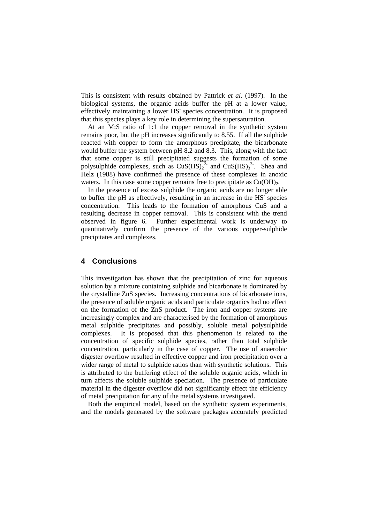This is consistent with results obtained by Pattrick *et al.* (1997). In the biological systems, the organic acids buffer the pH at a lower value, effectively maintaining a lower HS<sup>-</sup> species concentration. It is proposed that this species plays a key role in determining the supersaturation.

At an M:S ratio of 1:1 the copper removal in the synthetic system remains poor, but the pH increases significantly to 8.55. If all the sulphide reacted with copper to form the amorphous precipitate, the bicarbonate would buffer the system between pH 8.2 and 8.3. This, along with the fact that some copper is still precipitated suggests the formation of some polysulphide complexes, such as  $CuS(HS)<sub>2</sub><sup>2</sup>$  and  $CuS(HS)<sub>3</sub><sup>3</sup>$ . Shea and Helz (1988) have confirmed the presence of these complexes in anoxic waters. In this case some copper remains free to precipitate as  $Cu(OH)_{2}$ .

In the presence of excess sulphide the organic acids are no longer able to buffer the pH as effectively, resulting in an increase in the HS<sup>-</sup> species concentration. This leads to the formation of amorphous CuS and a resulting decrease in copper removal. This is consistent with the trend observed in figure 6. Further experimental work is underway to quantitatively confirm the presence of the various copper-sulphide precipitates and complexes.

#### **4 Conclusions**

This investigation has shown that the precipitation of zinc for aqueous solution by a mixture containing sulphide and bicarbonate is dominated by the crystalline ZnS species. Increasing concentrations of bicarbonate ions, the presence of soluble organic acids and particulate organics had no effect on the formation of the ZnS product. The iron and copper systems are increasingly complex and are characterised by the formation of amorphous metal sulphide precipitates and possibly, soluble metal polysulphide complexes. It is proposed that this phenomenon is related to the concentration of specific sulphide species, rather than total sulphide concentration, particularly in the case of copper. The use of anaerobic digester overflow resulted in effective copper and iron precipitation over a wider range of metal to sulphide ratios than with synthetic solutions. This is attributed to the buffering effect of the soluble organic acids, which in turn affects the soluble sulphide speciation. The presence of particulate material in the digester overflow did not significantly effect the efficiency of metal precipitation for any of the metal systems investigated.

Both the empirical model, based on the synthetic system experiments, and the models generated by the software packages accurately predicted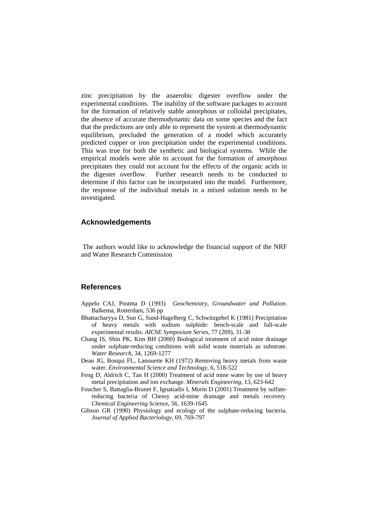zinc precipitation by the anaerobic digester overflow under the experimental conditions. The inability of the software packages to account for the formation of relatively stable amorphous or colloidal precipitates, the absence of accurate thermodynamic data on some species and the fact that the predictions are only able to represent the system at thermodynamic equilibrium, precluded the generation of a model which accurately predicted copper or iron precipitation under the experimental conditions. This was true for both the synthetic and biological systems. While the empirical models were able to account for the formation of amorphous precipitates they could not account for the effects of the organic acids in the digester overflow. Further research needs to be conducted to determine if this factor can be incorporated into the model. Furthermore, the response of the individual metals in a mixed solution needs to be investigated.

## **Acknowledgements**

 The authors would like to acknowledge the financial support of the NRF and Water Research Commission

#### **References**

- Appelo CAJ, Postma D (1993) *Geochemistry, Groundwater and Pollution*. Balkema, Rotterdam, 536 pp
- Bhattacharyya D, Sun G, Sund-Hagelberg C, Schwitzgebel K (1981) Precipitation of heavy metals with sodium sulphide: bench-scale and full-scale experimental results. *AIChE Symposium Series*, 77 (209), 31-38
- Chang IS, Shin PK, Kim BH (2000) Biological treatment of acid mine drainage under sulphate-reducing conditions with solid waste materials as substrate. *Water Research*, 34, 1269-1277
- Dean JG, Bosqui FL, Lanouette KH (1972) Removing heavy metals from waste water. *Environmental Science and Technology*, 6, 518-522
- Feng D, Aldrich C, Tan H (2000) Treatment of acid mine water by use of heavy metal precipitation and ion exchange. *Minerals Engineering*, 13, 623-642
- Foucher S, Battaglia-Brunet F, Ignatiadis I, Morin D (2001) Treatment by sulfatereducing bacteria of Chessy acid-mine drainage and metals recovery. *Chemical Engineering Science*, 56, 1639-1645
- Gibson GR (1990) Physiology and ecology of the sulphate-reducing bacteria. *Journal of Applied Bacteriology*, 69, 769-797